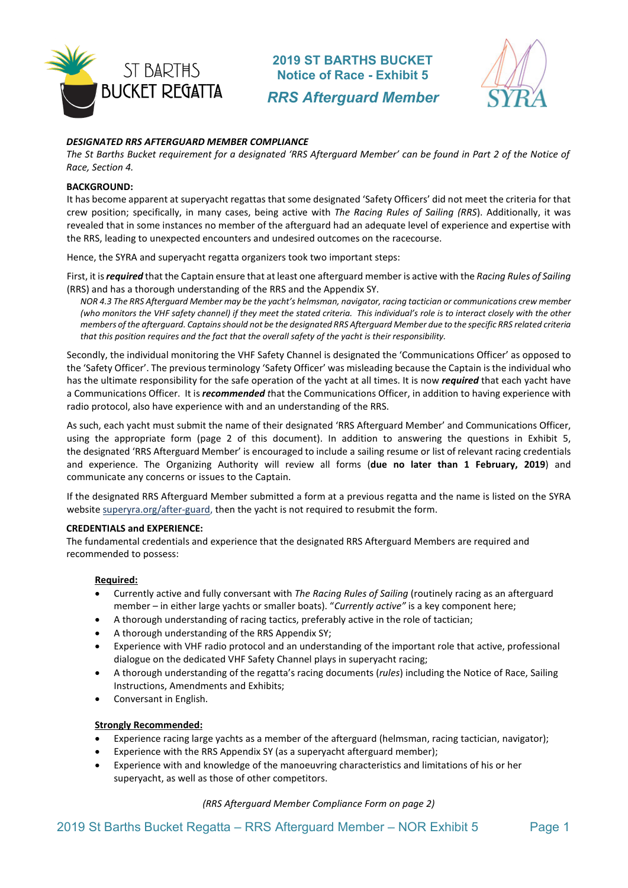

**2019 ST BARTHS BUCKET Notice of Race - Exhibit 5** *RRS Afterguard Member*



## *DESIGNATED RRS AFTERGUARD MEMBER COMPLIANCE*

*The St Barths Bucket requirement for a designated 'RRS Afterguard Member' can be found in Part 2 of the Notice of Race, Section 4.* 

#### **BACKGROUND:**

It has become apparent at superyacht regattas that some designated 'Safety Officers' did not meet the criteria for that crew position; specifically, in many cases, being active with *The Racing Rules of Sailing (RRS*). Additionally, it was revealed that in some instances no member of the afterguard had an adequate level of experience and expertise with the RRS, leading to unexpected encounters and undesired outcomes on the racecourse.

Hence, the SYRA and superyacht regatta organizers took two important steps:

First, it is *required* that the Captain ensure that at least one afterguard member is active with the *Racing Rules of Sailing* (RRS) and has a thorough understanding of the RRS and the Appendix SY.

*NOR 4.3 The RRS Afterguard Member may be the yacht's helmsman, navigator, racing tactician or communications crew member (who monitors the VHF safety channel) if they meet the stated criteria. This individual's role is to interact closely with the other members of the afterguard. Captains should not be the designated RRS Afterguard Member due to the specific RRS related criteria that this position requires and the fact that the overall safety of the yacht is their responsibility.*

Secondly, the individual monitoring the VHF Safety Channel is designated the 'Communications Officer' as opposed to the 'Safety Officer'. The previous terminology 'Safety Officer' was misleading because the Captain is the individual who has the ultimate responsibility for the safe operation of the yacht at all times. It is now *required* that each yacht have a Communications Officer. It is *recommended t*hat the Communications Officer, in addition to having experience with radio protocol, also have experience with and an understanding of the RRS.

As such, each yacht must submit the name of their designated 'RRS Afterguard Member' and Communications Officer, using the appropriate form (page 2 of this document). In addition to answering the questions in Exhibit 5, the designated 'RRS Afterguard Member' is encouraged to include a sailing resume or list of relevant racing credentials and experience. The Organizing Authority will review all forms (**due no later than 1 February, 2019**) and communicate any concerns or issues to the Captain.

If the designated RRS Afterguard Member submitted a form at a previous regatta and the name is listed on the SYRA websit[e superyra.org/after-guard,](http://superyra.org/after-guard/) then the yacht is not required to resubmit the form.

#### **CREDENTIALS and EXPERIENCE:**

The fundamental credentials and experience that the designated RRS Afterguard Members are required and recommended to possess:

### **Required:**

- Currently active and fully conversant with *The Racing Rules of Sailing* (routinely racing as an afterguard member – in either large yachts or smaller boats). "*Currently active"* is a key component here;
- A thorough understanding of racing tactics, preferably active in the role of tactician;
- A thorough understanding of the RRS Appendix SY;
- Experience with VHF radio protocol and an understanding of the important role that active, professional dialogue on the dedicated VHF Safety Channel plays in superyacht racing;
- A thorough understanding of the regatta's racing documents (*rules*) including the Notice of Race, Sailing Instructions, Amendments and Exhibits;
- Conversant in English.

### **Strongly Recommended:**

- Experience racing large yachts as a member of the afterguard (helmsman, racing tactician, navigator);
- Experience with the RRS Appendix SY (as a superyacht afterguard member);
- Experience with and knowledge of the manoeuvring characteristics and limitations of his or her superyacht, as well as those of other competitors.

### *(RRS Afterguard Member Compliance Form on page 2)*